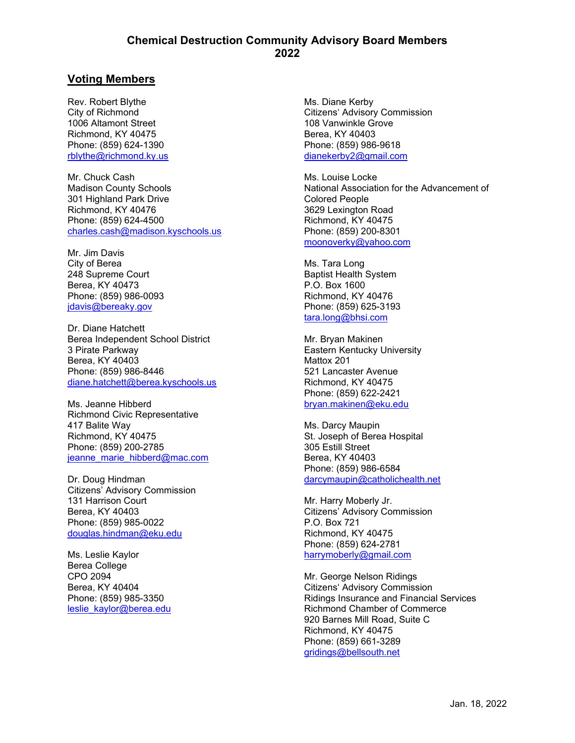### **Chemical Destruction Community Advisory Board Members 2022**

# **Voting Members**

Rev. Robert Blythe City of Richmond 1006 Altamont Street Richmond, KY 40475 Phone: (859) 624-1390 [rblythe@richmond.ky.us](mailto:rblythe@richmond.ky.us)

Mr. Chuck Cash Madison County Schools 301 Highland Park Drive Richmond, KY 40476 Phone: (859) 624-4500 [charles.cash@madison.kyschools.us](mailto:charles.cash@madison.kyschools.us)

Mr. Jim Davis City of Berea 248 Supreme Court Berea, KY 40473 Phone: (859) 986-0093 [jdavis@bereaky.gov](mailto:jdavis@bereaky.gov)

Dr. Diane Hatchett Berea Independent School District 3 Pirate Parkway Berea, KY 40403 Phone: (859) 986-8446 [diane.hatchett@berea.kyschools.us](mailto:diane.hatchett@berea.kyschools.us)

Ms. Jeanne Hibberd Richmond Civic Representative 417 Balite Way Richmond, KY 40475 Phone: (859) 200-2785 jeanne marie hibberd@mac.com

Dr. Doug Hindman Citizens' Advisory Commission 131 Harrison Court Berea, KY 40403 Phone: (859) 985-0022 [douglas.hindman@eku.edu](mailto:douglas.hindman@eku.edu)

Ms. Leslie Kaylor Berea College CPO 2094 Berea, KY 40404 Phone: (859) 985-3350 [leslie\\_kaylor@berea.edu](mailto:leslie_kaylor@berea.edu)

Ms. Diane Kerby Citizens' Advisory Commission 108 Vanwinkle Grove Berea, KY 40403 Phone: (859) 986-9618 [dianekerby2@gmail.com](mailto:dianekerby2@gmail.com)

Ms. Louise Locke National Association for the Advancement of Colored People 3629 Lexington Road Richmond, KY 40475 Phone: (859) 200-8301 [moonoverky@yahoo.com](mailto:moonoverky@yahoo.com)

Ms. Tara Long Baptist Health System P.O. Box 1600 Richmond, KY 40476 Phone: (859) 625-3193 [tara.long@bhsi.com](mailto:tara.long@bhsi.com)

Mr. Bryan Makinen Eastern Kentucky University Mattox 201 521 Lancaster Avenue Richmond, KY 40475 Phone: (859) 622-2421 [bryan.makinen@eku.edu](mailto:bryan.makinen@eku.edu)

Ms. Darcy Maupin St. Joseph of Berea Hospital 305 Estill Street Berea, KY 40403 Phone: (859) 986-6584 [darcymaupin@catholichealth.net](mailto:darcymaupin@catholichealth.net)

Mr. Harry Moberly Jr. Citizens' Advisory Commission P.O. Box 721 Richmond, KY 40475 Phone: (859) 624-2781 [harrymoberly@gmail.com](mailto:harrymoberly@gmail.com)

Mr. George Nelson Ridings Citizens' Advisory Commission Ridings Insurance and Financial Services Richmond Chamber of Commerce 920 Barnes Mill Road, Suite C Richmond, KY 40475 Phone: (859) 661-3289 [gridings@bellsouth.net](mailto:gridings@bellsouth.net)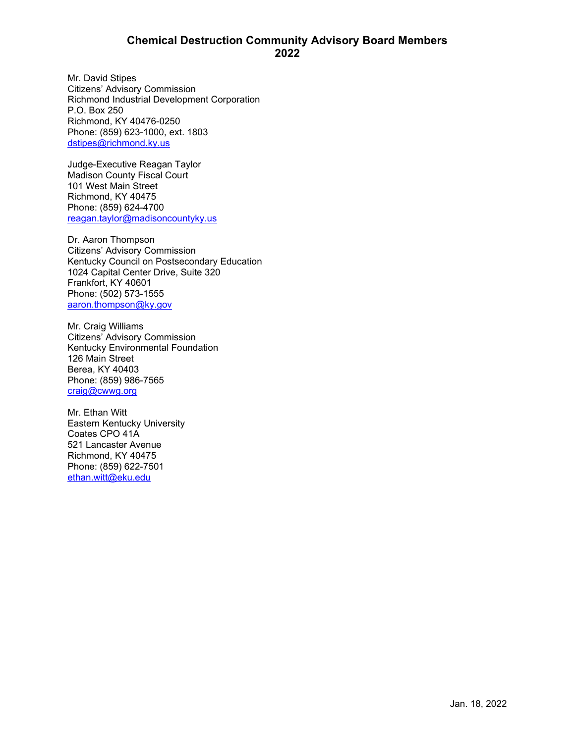## **Chemical Destruction Community Advisory Board Members 2022**

Mr. David Stipes Citizens' Advisory Commission Richmond Industrial Development Corporation P.O. Box 250 Richmond, KY 40476-0250 Phone: (859) 623-1000, ext. 1803 [dstipes@richmond.ky.us](mailto:dstipes@richmond.ky.us)

Judge-Executive Reagan Taylor Madison County Fiscal Court 101 West Main Street Richmond, KY 40475 Phone: (859) 624-4700 [reagan.taylor@madisoncountyky.us](mailto:reagan.taylor@madisoncountyky.us)

Dr. Aaron Thompson Citizens' Advisory Commission Kentucky Council on Postsecondary Education 1024 Capital Center Drive, Suite 320 Frankfort, KY 40601 Phone: (502) 573-1555 [aaron.thompson@ky.gov](file://File2/Projects/ACTIVE/2018_ECBC_Public%20Outreach/AppData/Local/Microsoft/Windows/INetCache/Content.Outlook/AppData/Local/Microsoft/Windows/Temporary%20Internet%20Files/Content.Outlook/ODZF1QO2/aaron.thompson@ky.gov)

Mr. Craig Williams Citizens' Advisory Commission Kentucky Environmental Foundation 126 Main Street Berea, KY 40403 Phone: (859) 986-7565 [craig@cwwg.org](mailto:craig@cwwg.org)

Mr. Ethan Witt Eastern Kentucky University Coates CPO 41A 521 Lancaster Avenue Richmond, KY 40475 Phone: (859) 622-7501 [ethan.witt@eku.edu](mailto:ethan.witt@eku.edu)